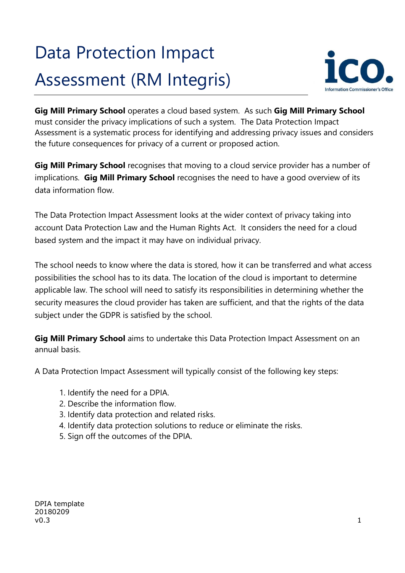# Data Protection Impact Assessment (RM Integris)



**Gig Mill Primary School** operates a cloud based system. As such **Gig Mill Primary School** must consider the privacy implications of such a system. The Data Protection Impact Assessment is a systematic process for identifying and addressing privacy issues and considers the future consequences for privacy of a current or proposed action.

**Gig Mill Primary School** recognises that moving to a cloud service provider has a number of implications. **Gig Mill Primary School** recognises the need to have a good overview of its data information flow.

The Data Protection Impact Assessment looks at the wider context of privacy taking into account Data Protection Law and the Human Rights Act. It considers the need for a cloud based system and the impact it may have on individual privacy.

The school needs to know where the data is stored, how it can be transferred and what access possibilities the school has to its data. The location of the cloud is important to determine applicable law. The school will need to satisfy its responsibilities in determining whether the security measures the cloud provider has taken are sufficient, and that the rights of the data subject under the GDPR is satisfied by the school.

**Gig Mill Primary School** aims to undertake this Data Protection Impact Assessment on an annual basis.

A Data Protection Impact Assessment will typically consist of the following key steps:

- 1. Identify the need for a DPIA.
- 2. Describe the information flow.
- 3. Identify data protection and related risks.
- 4. Identify data protection solutions to reduce or eliminate the risks.
- 5. Sign off the outcomes of the DPIA.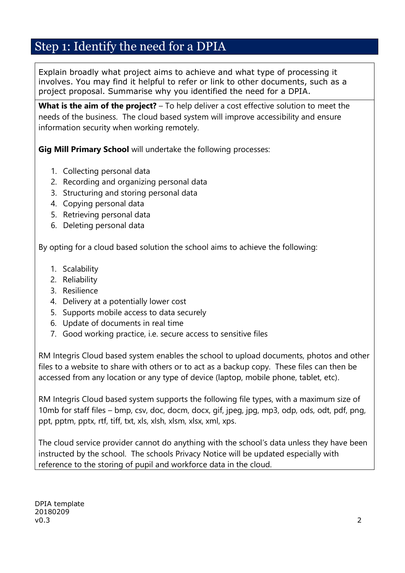#### Step 1: Identify the need for a DPIA

Explain broadly what project aims to achieve and what type of processing it involves. You may find it helpful to refer or link to other documents, such as a project proposal. Summarise why you identified the need for a DPIA.

**What is the aim of the project?** – To help deliver a cost effective solution to meet the needs of the business. The cloud based system will improve accessibility and ensure information security when working remotely.

**Gig Mill Primary School** will undertake the following processes:

- 1. Collecting personal data
- 2. Recording and organizing personal data
- 3. Structuring and storing personal data
- 4. Copying personal data
- 5. Retrieving personal data
- 6. Deleting personal data

By opting for a cloud based solution the school aims to achieve the following:

- 1. Scalability
- 2. Reliability
- 3. Resilience
- 4. Delivery at a potentially lower cost
- 5. Supports mobile access to data securely
- 6. Update of documents in real time
- 7. Good working practice, i.e. secure access to sensitive files

RM Integris Cloud based system enables the school to upload documents, photos and other files to a website to share with others or to act as a backup copy. These files can then be accessed from any location or any type of device (laptop, mobile phone, tablet, etc).

RM Integris Cloud based system supports the following file types, with a maximum size of 10mb for staff files – bmp, csv, doc, docm, docx, gif, jpeg, jpg, mp3, odp, ods, odt, pdf, png, ppt, pptm, pptx, rtf, tiff, txt, xls, xlsh, xlsm, xlsx, xml, xps.

The cloud service provider cannot do anything with the school's data unless they have been instructed by the school. The schools Privacy Notice will be updated especially with reference to the storing of pupil and workforce data in the cloud.

DPIA template 20180209 v0.3  $\sim$  2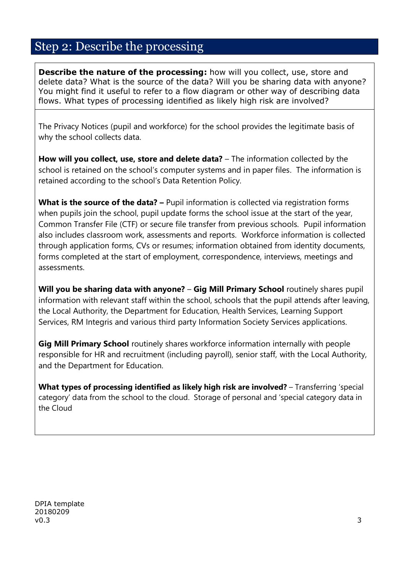#### Step 2: Describe the processing

**Describe the nature of the processing:** how will you collect, use, store and delete data? What is the source of the data? Will you be sharing data with anyone? You might find it useful to refer to a flow diagram or other way of describing data flows. What types of processing identified as likely high risk are involved?

The Privacy Notices (pupil and workforce) for the school provides the legitimate basis of why the school collects data.

**How will you collect, use, store and delete data?** – The information collected by the school is retained on the school's computer systems and in paper files. The information is retained according to the school's Data Retention Policy.

**What is the source of the data? –** Pupil information is collected via registration forms when pupils join the school, pupil update forms the school issue at the start of the year, Common Transfer File (CTF) or secure file transfer from previous schools. Pupil information also includes classroom work, assessments and reports. Workforce information is collected through application forms, CVs or resumes; information obtained from identity documents, forms completed at the start of employment, correspondence, interviews, meetings and assessments.

**Will you be sharing data with anyone? – Gig Mill Primary School routinely shares pupil** information with relevant staff within the school, schools that the pupil attends after leaving, the Local Authority, the Department for Education, Health Services, Learning Support Services, RM Integris and various third party Information Society Services applications.

**Gig Mill Primary School** routinely shares workforce information internally with people responsible for HR and recruitment (including payroll), senior staff, with the Local Authority, and the Department for Education.

**What types of processing identified as likely high risk are involved? – Transferring 'special** category' data from the school to the cloud. Storage of personal and 'special category data in the Cloud

DPIA template 20180209 v0.3  $\sim$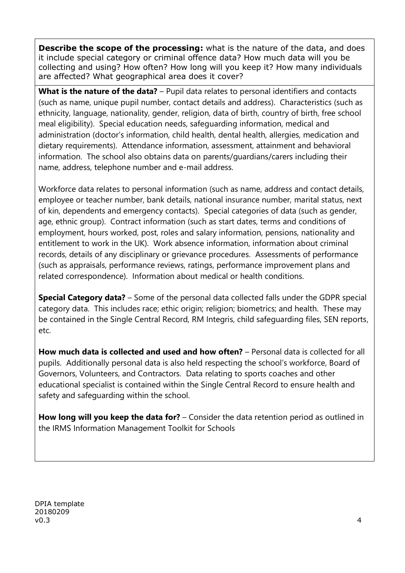**Describe the scope of the processing:** what is the nature of the data, and does it include special category or criminal offence data? How much data will you be collecting and using? How often? How long will you keep it? How many individuals are affected? What geographical area does it cover?

**What is the nature of the data?** – Pupil data relates to personal identifiers and contacts (such as name, unique pupil number, contact details and address). Characteristics (such as ethnicity, language, nationality, gender, religion, data of birth, country of birth, free school meal eligibility). Special education needs, safeguarding information, medical and administration (doctor's information, child health, dental health, allergies, medication and dietary requirements). Attendance information, assessment, attainment and behavioral information. The school also obtains data on parents/guardians/carers including their name, address, telephone number and e-mail address.

Workforce data relates to personal information (such as name, address and contact details, employee or teacher number, bank details, national insurance number, marital status, next of kin, dependents and emergency contacts). Special categories of data (such as gender, age, ethnic group). Contract information (such as start dates, terms and conditions of employment, hours worked, post, roles and salary information, pensions, nationality and entitlement to work in the UK). Work absence information, information about criminal records, details of any disciplinary or grievance procedures. Assessments of performance (such as appraisals, performance reviews, ratings, performance improvement plans and related correspondence). Information about medical or health conditions.

**Special Category data?** – Some of the personal data collected falls under the GDPR special category data. This includes race; ethic origin; religion; biometrics; and health. These may be contained in the Single Central Record, RM Integris, child safeguarding files, SEN reports, etc.

**How much data is collected and used and how often?** – Personal data is collected for all pupils. Additionally personal data is also held respecting the school's workforce, Board of Governors, Volunteers, and Contractors. Data relating to sports coaches and other educational specialist is contained within the Single Central Record to ensure health and safety and safeguarding within the school.

**How long will you keep the data for?** – Consider the data retention period as outlined in the IRMS Information Management Toolkit for Schools

DPIA template 20180209  $v$ 0.3 **4**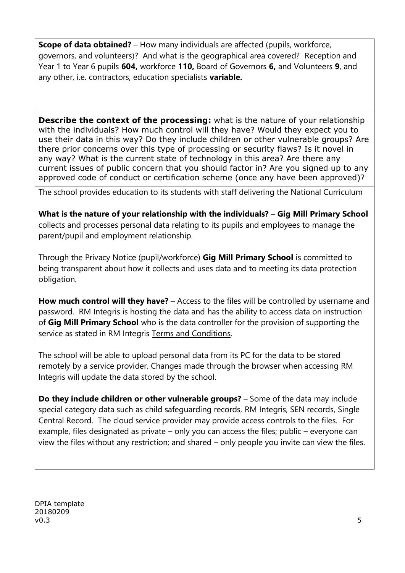**Scope of data obtained?** – How many individuals are affected (pupils, workforce, governors, and volunteers)? And what is the geographical area covered? Reception and Year 1 to Year 6 pupils **604,** workforce **110,** Board of Governors **6,** and Volunteers **9**, and any other, i.e. contractors, education specialists **variable.**

**Describe the context of the processing:** what is the nature of your relationship with the individuals? How much control will they have? Would they expect you to use their data in this way? Do they include children or other vulnerable groups? Are there prior concerns over this type of processing or security flaws? Is it novel in any way? What is the current state of technology in this area? Are there any current issues of public concern that you should factor in? Are you signed up to any approved code of conduct or certification scheme (once any have been approved)?

The school provides education to its students with staff delivering the National Curriculum

**What is the nature of your relationship with the individuals?** – **Gig Mill Primary School** collects and processes personal data relating to its pupils and employees to manage the parent/pupil and employment relationship.

Through the Privacy Notice (pupil/workforce) **Gig Mill Primary School** is committed to being transparent about how it collects and uses data and to meeting its data protection obligation.

**How much control will they have?** – Access to the files will be controlled by username and password. RM Integris is hosting the data and has the ability to access data on instruction of **Gig Mill Primary School** who is the data controller for the provision of supporting the service as stated in RM Integris [Terms and Conditions.](https://www.rm.com/about/terms) 

The school will be able to upload personal data from its PC for the data to be stored remotely by a service provider. Changes made through the browser when accessing RM Integris will update the data stored by the school.

**Do they include children or other vulnerable groups?** – Some of the data may include special category data such as child safeguarding records, RM Integris, SEN records, Single Central Record. The cloud service provider may provide access controls to the files. For example, files designated as private – only you can access the files; public – everyone can view the files without any restriction; and shared – only people you invite can view the files.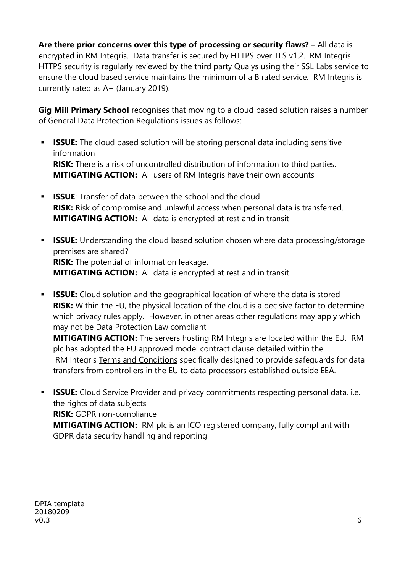Are there prior concerns over this type of processing or security flaws? - All data is encrypted in RM Integris. Data transfer is secured by HTTPS over TLS v1.2. RM Integris HTTPS security is regularly reviewed by the third party Qualys using their SSL Labs service to ensure the cloud based service maintains the minimum of a B rated service. RM Integris is currently rated as A+ (January 2019).

**Gig Mill Primary School** recognises that moving to a cloud based solution raises a number of General Data Protection Regulations issues as follows:

- **ISSUE:** The cloud based solution will be storing personal data including sensitive information **RISK:** There is a risk of uncontrolled distribution of information to third parties. **MITIGATING ACTION:** All users of RM Integris have their own accounts
- **ISSUE:** Transfer of data between the school and the cloud **RISK:** Risk of compromise and unlawful access when personal data is transferred. **MITIGATING ACTION:** All data is encrypted at rest and in transit
- **ISSUE:** Understanding the cloud based solution chosen where data processing/storage premises are shared? **RISK:** The potential of information leakage. **MITIGATING ACTION:** All data is encrypted at rest and in transit
- **ISSUE:** Cloud solution and the geographical location of where the data is stored **RISK:** Within the EU, the physical location of the cloud is a decisive factor to determine which privacy rules apply. However, in other areas other regulations may apply which may not be Data Protection Law compliant

**MITIGATING ACTION:** The servers hosting RM Integris are located within the EU. RM plc has adopted the EU approved model contract clause detailed within the RM Integris [Terms and Conditions](https://www.rm.com/about/terms) specifically designed to provide safeguards for data transfers from controllers in the EU to data processors established outside EEA.

**ISSUE:** Cloud Service Provider and privacy commitments respecting personal data, i.e. the rights of data subjects **RISK:** GDPR non-compliance **MITIGATING ACTION:** RM plc is an ICO registered company, fully compliant with GDPR data security handling and reporting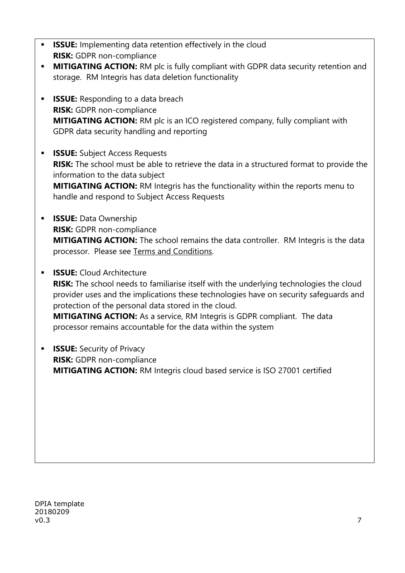- **ISSUE:** Implementing data retention effectively in the cloud **RISK:** GDPR non-compliance
- **MITIGATING ACTION:** RM plc is fully compliant with GDPR data security retention and storage. RM Integris has data deletion functionality
- **ISSUE:** Responding to a data breach **RISK:** GDPR non-compliance **MITIGATING ACTION:** RM plc is an ICO registered company, fully compliant with GDPR data security handling and reporting
- **ISSUE:** Subject Access Requests **RISK:** The school must be able to retrieve the data in a structured format to provide the information to the data subject **MITIGATING ACTION:** RM Integris has the functionality within the reports menu to handle and respond to Subject Access Requests
- **ISSUE: Data Ownership RISK:** GDPR non-compliance **MITIGATING ACTION:** The school remains the data controller. RM Integris is the data processor. Please see [Terms and Conditions.](https://www.rm.com/about/terms)
- **ISSUE:** Cloud Architecture **RISK:** The school needs to familiarise itself with the underlying technologies the cloud provider uses and the implications these technologies have on security safeguards and protection of the personal data stored in the cloud. **MITIGATING ACTION:** As a service, RM Integris is GDPR compliant. The data processor remains accountable for the data within the system
- **ISSUE:** Security of Privacy **RISK:** GDPR non-compliance **MITIGATING ACTION:** RM Integris cloud based service is ISO 27001 certified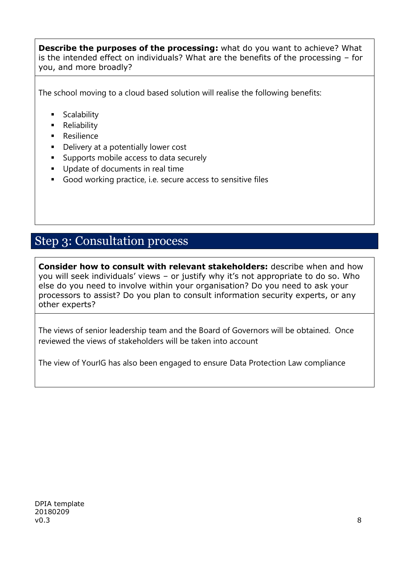**Describe the purposes of the processing:** what do you want to achieve? What is the intended effect on individuals? What are the benefits of the processing – for you, and more broadly?

The school moving to a cloud based solution will realise the following benefits:

- **Scalability**
- **Reliability**
- **Resilience**
- **Delivery at a potentially lower cost**
- Supports mobile access to data securely
- Update of documents in real time
- Good working practice, i.e. secure access to sensitive files

#### Step 3: Consultation process

**Consider how to consult with relevant stakeholders:** describe when and how you will seek individuals' views – or justify why it's not appropriate to do so. Who else do you need to involve within your organisation? Do you need to ask your processors to assist? Do you plan to consult information security experts, or any other experts?

The views of senior leadership team and the Board of Governors will be obtained. Once reviewed the views of stakeholders will be taken into account

The view of YourIG has also been engaged to ensure Data Protection Law compliance

DPIA template 20180209 v0.3  $\,$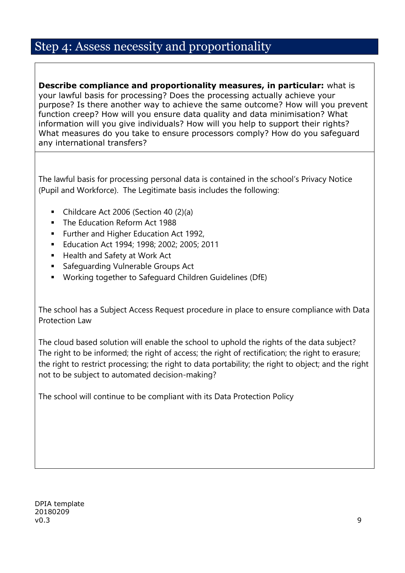#### Step 4: Assess necessity and proportionality

**Describe compliance and proportionality measures, in particular:** what is your lawful basis for processing? Does the processing actually achieve your purpose? Is there another way to achieve the same outcome? How will you prevent function creep? How will you ensure data quality and data minimisation? What information will you give individuals? How will you help to support their rights? What measures do you take to ensure processors comply? How do you safeguard any international transfers?

The lawful basis for processing personal data is contained in the school's Privacy Notice (Pupil and Workforce). The Legitimate basis includes the following:

- Childcare Act 2006 (Section 40 (2)(a)
- The Education Reform Act 1988
- **Further and Higher Education Act 1992,**
- **Education Act 1994; 1998; 2002; 2005; 2011**
- Health and Safety at Work Act
- Safeguarding Vulnerable Groups Act
- Working together to Safeguard Children Guidelines (DfE)

The school has a Subject Access Request procedure in place to ensure compliance with Data Protection Law

The cloud based solution will enable the school to uphold the rights of the data subject? The right to be informed; the right of access; the right of rectification; the right to erasure; the right to restrict processing; the right to data portability; the right to object; and the right not to be subject to automated decision-making?

The school will continue to be compliant with its Data Protection Policy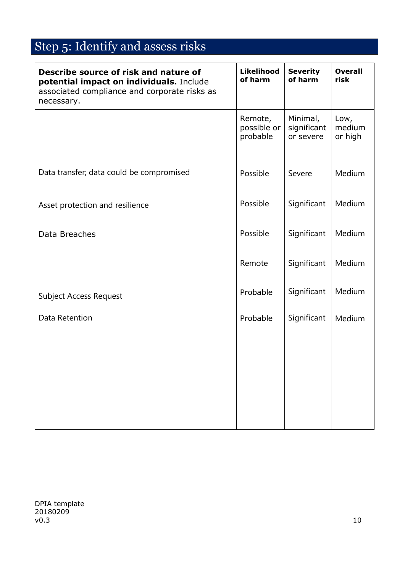## Step 5: Identify and assess risks

| Describe source of risk and nature of<br>potential impact on individuals. Include<br>associated compliance and corporate risks as<br>necessary. | <b>Likelihood</b><br>of harm       | <b>Severity</b><br>of harm           | <b>Overall</b><br>risk    |
|-------------------------------------------------------------------------------------------------------------------------------------------------|------------------------------------|--------------------------------------|---------------------------|
|                                                                                                                                                 | Remote,<br>possible or<br>probable | Minimal,<br>significant<br>or severe | Low,<br>medium<br>or high |
| Data transfer; data could be compromised                                                                                                        | Possible                           | Severe                               | Medium                    |
| Asset protection and resilience                                                                                                                 | Possible                           | Significant                          | Medium                    |
| Data Breaches                                                                                                                                   | Possible                           | Significant                          | Medium                    |
|                                                                                                                                                 | Remote                             | Significant                          | Medium                    |
| Subject Access Request                                                                                                                          | Probable                           | Significant                          | Medium                    |
| Data Retention                                                                                                                                  | Probable                           | Significant                          | Medium                    |
|                                                                                                                                                 |                                    |                                      |                           |
|                                                                                                                                                 |                                    |                                      |                           |
|                                                                                                                                                 |                                    |                                      |                           |
|                                                                                                                                                 |                                    |                                      |                           |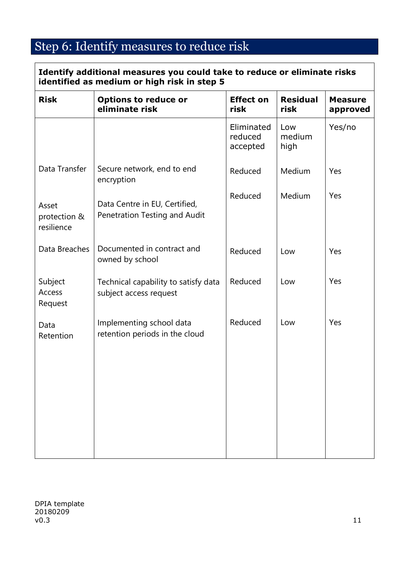### Step 6: Identify measures to reduce risk

| Identify additional measures you could take to reduce or eliminate risks<br>identified as medium or high risk in step 5 |                                                                |                                   |                         |                            |  |  |
|-------------------------------------------------------------------------------------------------------------------------|----------------------------------------------------------------|-----------------------------------|-------------------------|----------------------------|--|--|
| <b>Risk</b>                                                                                                             | <b>Options to reduce or</b><br>eliminate risk                  | <b>Effect on</b><br>risk          | <b>Residual</b><br>risk | <b>Measure</b><br>approved |  |  |
|                                                                                                                         |                                                                | Eliminated<br>reduced<br>accepted | Low<br>medium<br>high   | Yes/no                     |  |  |
| Data Transfer                                                                                                           | Secure network, end to end<br>encryption                       | Reduced                           | Medium                  | Yes                        |  |  |
| Asset<br>protection &<br>resilience                                                                                     | Data Centre in EU, Certified,<br>Penetration Testing and Audit | Reduced                           | Medium                  | Yes                        |  |  |
| Data Breaches                                                                                                           | Documented in contract and<br>owned by school                  | Reduced                           | Low                     | Yes                        |  |  |
| Subject<br>Access<br>Request                                                                                            | Technical capability to satisfy data<br>subject access request | Reduced                           | Low                     | Yes                        |  |  |
| Data<br>Retention                                                                                                       | Implementing school data<br>retention periods in the cloud     | Reduced                           | Low                     | Yes                        |  |  |
|                                                                                                                         |                                                                |                                   |                         |                            |  |  |
|                                                                                                                         |                                                                |                                   |                         |                            |  |  |
|                                                                                                                         |                                                                |                                   |                         |                            |  |  |